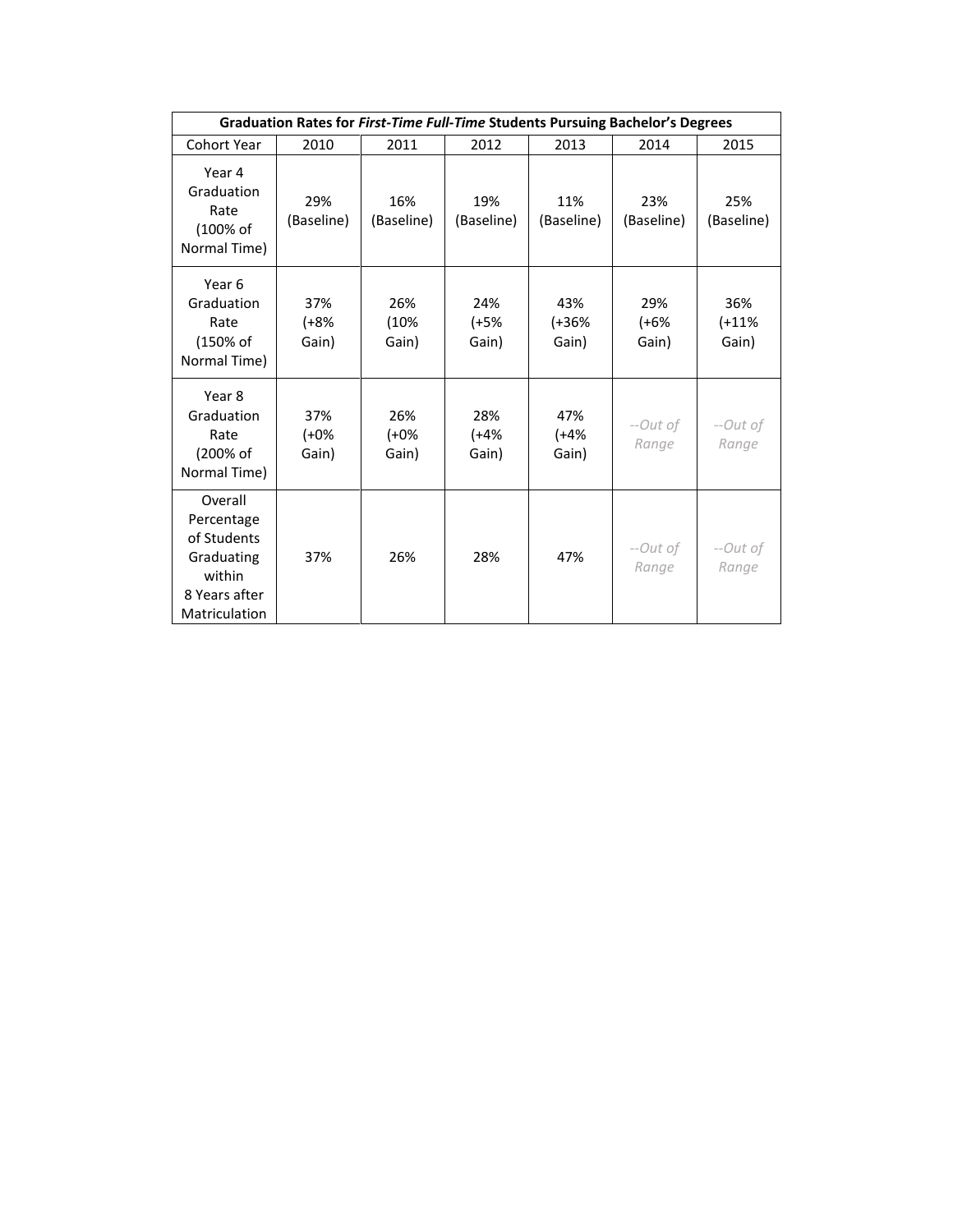| Graduation Rates for First-Time Full-Time Students Pursuing Bachelor's Degrees                 |                         |                         |                        |                         |                        |                         |  |  |  |
|------------------------------------------------------------------------------------------------|-------------------------|-------------------------|------------------------|-------------------------|------------------------|-------------------------|--|--|--|
| <b>Cohort Year</b>                                                                             | 2010                    | 2011                    | 2012                   | 2013                    | 2014                   | 2015                    |  |  |  |
| Year 4<br>Graduation<br>Rate<br>(100% of<br>Normal Time)                                       | 29%<br>(Baseline)       | 16%<br>(Baseline)       | 19%<br>(Baseline)      | 11%<br>(Baseline)       | 23%<br>(Baseline)      | 25%<br>(Baseline)       |  |  |  |
| Year 6<br>Graduation<br>Rate<br>(150% of<br>Normal Time)                                       | 37%<br>$(+8%$<br>Gain)  | 26%<br>(10%<br>Gain)    | 24%<br>$(+5%$<br>Gain) | 43%<br>$(+36%$<br>Gain) | 29%<br>$(+6%$<br>Gain) | 36%<br>$(+11%$<br>Gain) |  |  |  |
| Year 8<br>Graduation<br>Rate<br>(200% of<br>Normal Time)                                       | 37%<br>$(+0\%$<br>Gain) | 26%<br>$(+0\%$<br>Gain) | 28%<br>$(+4%$<br>Gain) | 47%<br>$(+4%$<br>Gain)  | --Out of<br>Range      | --Out of<br>Range       |  |  |  |
| Overall<br>Percentage<br>of Students<br>Graduating<br>within<br>8 Years after<br>Matriculation | 37%                     | 26%                     | 28%                    | 47%                     | --Out of<br>Range      | --Out of<br>Range       |  |  |  |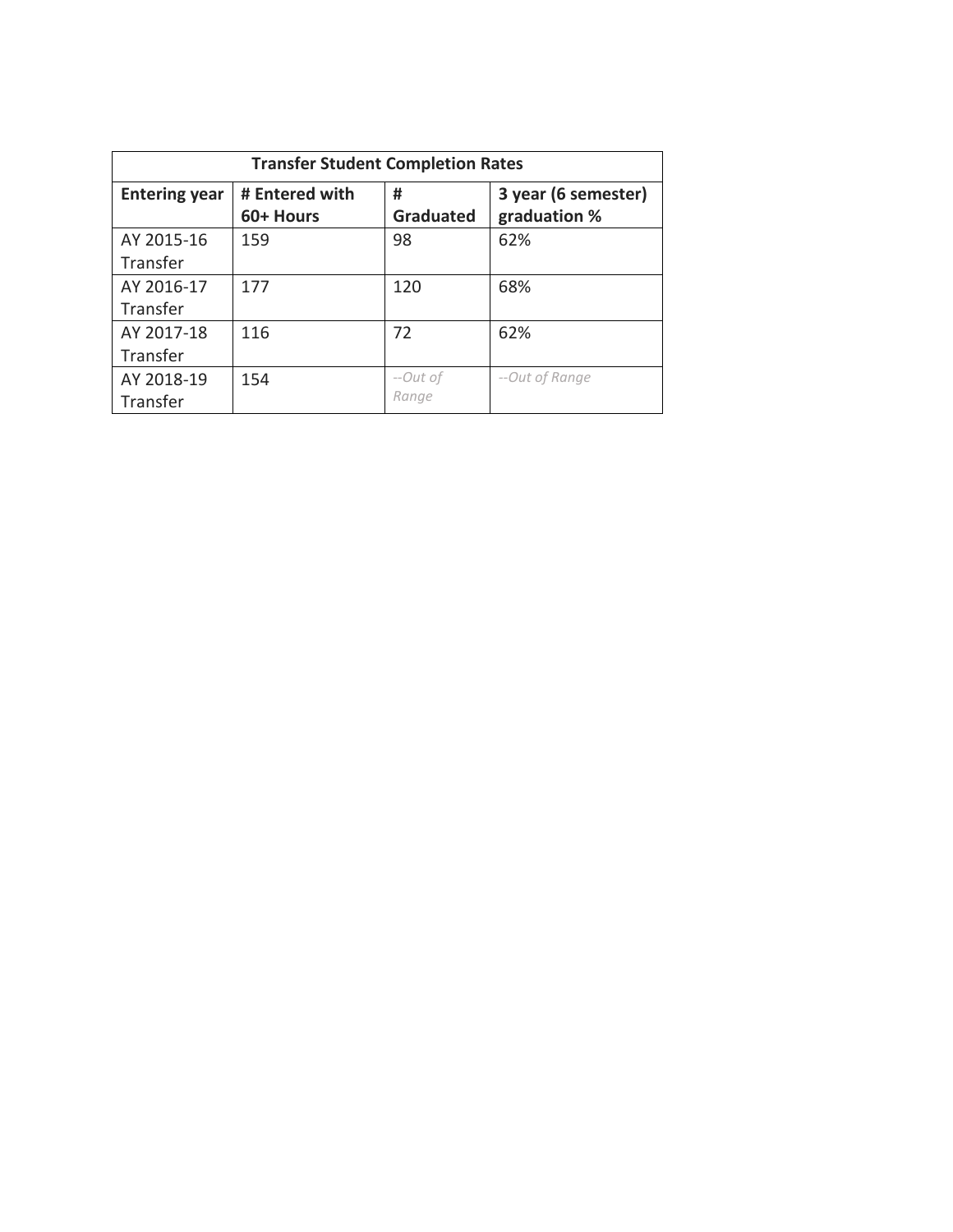| <b>Transfer Student Completion Rates</b> |                             |                       |                                     |  |  |  |
|------------------------------------------|-----------------------------|-----------------------|-------------------------------------|--|--|--|
| <b>Entering year</b>                     | # Entered with<br>60+ Hours | #<br><b>Graduated</b> | 3 year (6 semester)<br>graduation % |  |  |  |
| AY 2015-16<br>Transfer                   | 159                         | 98                    | 62%                                 |  |  |  |
| AY 2016-17<br>Transfer                   | 177                         | 120                   | 68%                                 |  |  |  |
| AY 2017-18<br>Transfer                   | 116                         | 72                    | 62%                                 |  |  |  |
| AY 2018-19<br>Transfer                   | 154                         | --Out of<br>Range     | --Out of Range                      |  |  |  |